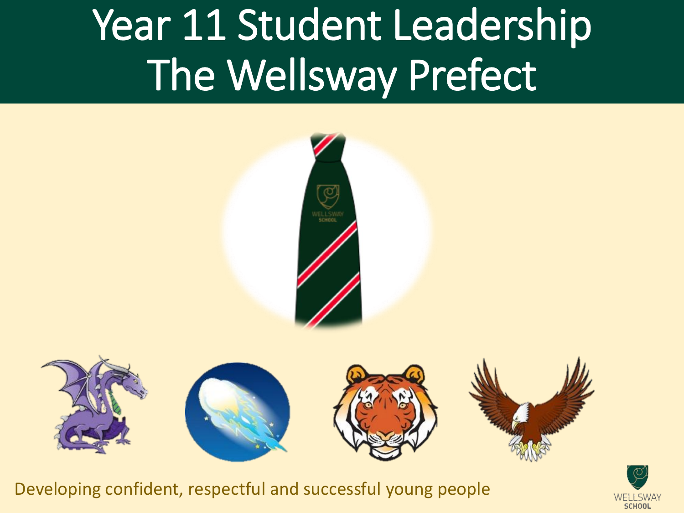# Year 11 Student Leadership The Wellsway Prefect





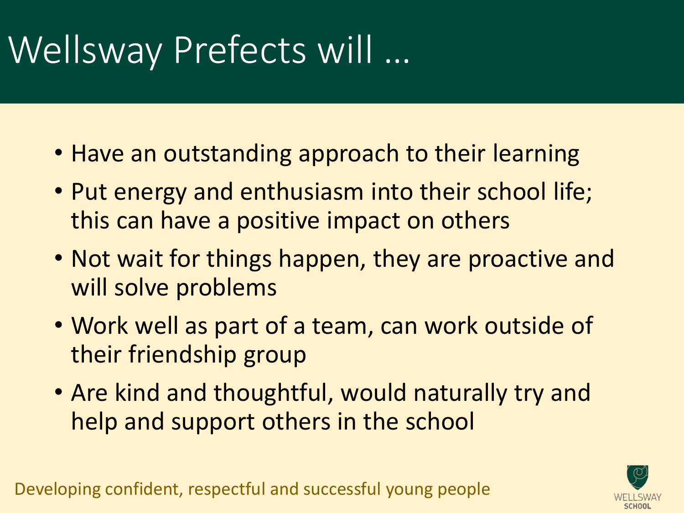### Wellsway Prefects will …

- Have an outstanding approach to their learning
- Put energy and enthusiasm into their school life; this can have a positive impact on others
- Not wait for things happen, they are proactive and will solve problems
- Work well as part of a team, can work outside of their friendship group
- Are kind and thoughtful, would naturally try and help and support others in the school

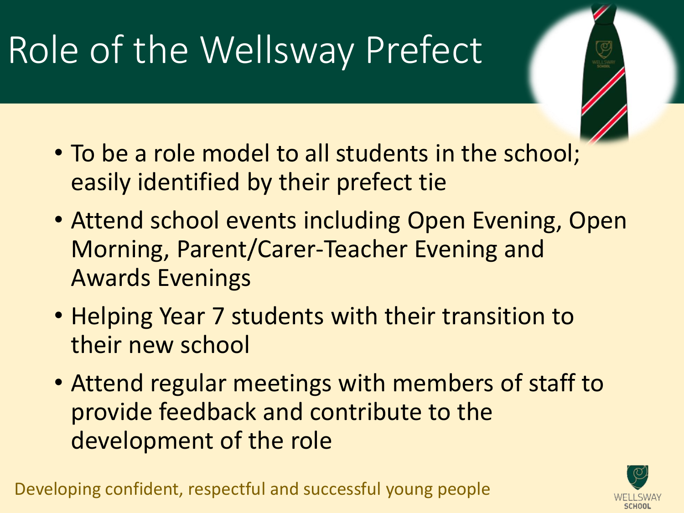## Role of the Wellsway Prefect

- To be a role model to all students in the school; easily identified by their prefect tie
- Attend school events including Open Evening, Open Morning, Parent/Carer-Teacher Evening and Awards Evenings
- Helping Year 7 students with their transition to their new school
- Attend regular meetings with members of staff to provide feedback and contribute to the development of the role

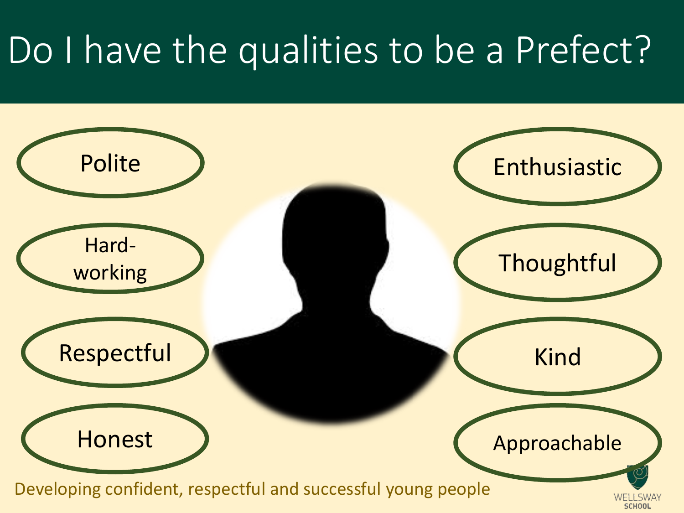### Do I have the qualities to be a Prefect?